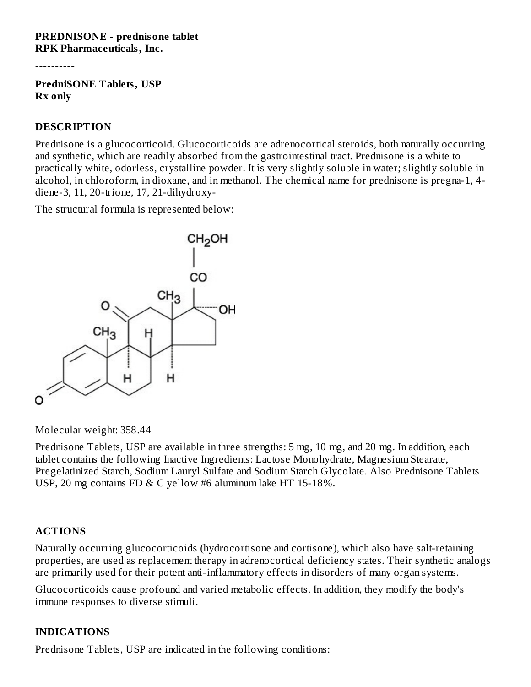#### **PREDNISONE - prednisone tablet RPK Pharmaceuticals, Inc.**

----------

**PredniSONE Tablets, USP Rx only**

### **DESCRIPTION**

Prednisone is a glucocorticoid. Glucocorticoids are adrenocortical steroids, both naturally occurring and synthetic, which are readily absorbed from the gastrointestinal tract. Prednisone is a white to practically white, odorless, crystalline powder. It is very slightly soluble in water; slightly soluble in alcohol, in chloroform, in dioxane, and in methanol. The chemical name for prednisone is pregna-1, 4 diene-3, 11, 20-trione, 17, 21-dihydroxy-

The structural formula is represented below:



Molecular weight: 358.44

Prednisone Tablets, USP are available in three strengths: 5 mg, 10 mg, and 20 mg. In addition, each tablet contains the following Inactive Ingredients: Lactose Monohydrate, Magnesium Stearate, Pregelatinized Starch, Sodium Lauryl Sulfate and Sodium Starch Glycolate. Also Prednisone Tablets USP, 20 mg contains FD & C yellow #6 aluminum lake HT 15-18%.

## **ACTIONS**

Naturally occurring glucocorticoids (hydrocortisone and cortisone), which also have salt-retaining properties, are used as replacement therapy in adrenocortical deficiency states. Their synthetic analogs are primarily used for their potent anti-inflammatory effects in disorders of many organ systems.

Glucocorticoids cause profound and varied metabolic effects. In addition, they modify the body's immune responses to diverse stimuli.

## **INDICATIONS**

Prednisone Tablets, USP are indicated in the following conditions: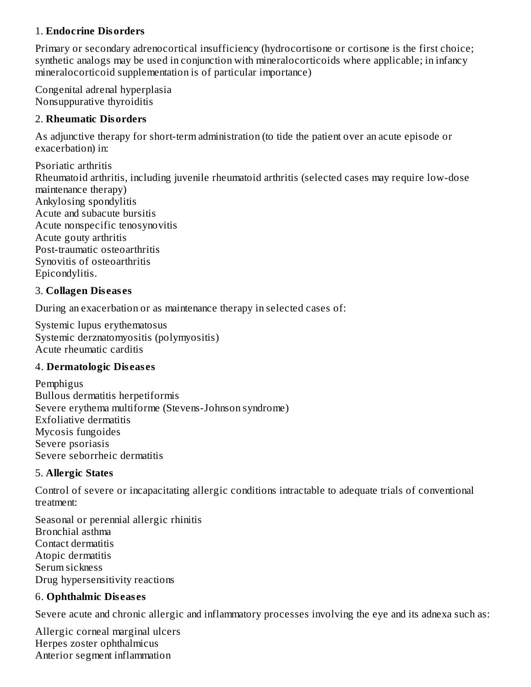## 1. **Endocrine Disorders**

Primary or secondary adrenocortical insufficiency (hydrocortisone or cortisone is the first choice; synthetic analogs may be used in conjunction with mineralocorticoids where applicable; in infancy mineralocorticoid supplementation is of particular importance)

Congenital adrenal hyperplasia Nonsuppurative thyroiditis

## 2. **Rheumatic Disorders**

As adjunctive therapy for short-term administration (to tide the patient over an acute episode or exacerbation) in:

Psoriatic arthritis Rheumatoid arthritis, including juvenile rheumatoid arthritis (selected cases may require low-dose maintenance therapy) Ankylosing spondylitis Acute and subacute bursitis Acute nonspecific tenosynovitis Acute gouty arthritis Post-traumatic osteoarthritis Synovitis of osteoarthritis Epicondylitis.

## 3. **Collagen Dis eas es**

During an exacerbation or as maintenance therapy in selected cases of:

Systemic lupus erythematosus Systemic derznatomyositis (polymyositis) Acute rheumatic carditis

### 4. **Dermatologic Dis eas es**

Pemphigus Bullous dermatitis herpetiformis Severe erythema multiforme (Stevens-Johnson syndrome) Exfoliative dermatitis Mycosis fungoides Severe psoriasis Severe seborrheic dermatitis

## 5. **Allergic States**

Control of severe or incapacitating allergic conditions intractable to adequate trials of conventional treatment:

Seasonal or perennial allergic rhinitis Bronchial asthma Contact dermatitis Atopic dermatitis Serum sickness Drug hypersensitivity reactions

## 6. **Ophthalmic Dis eas es**

Severe acute and chronic allergic and inflammatory processes involving the eye and its adnexa such as:

Allergic corneal marginal ulcers Herpes zoster ophthalmicus Anterior segment inflammation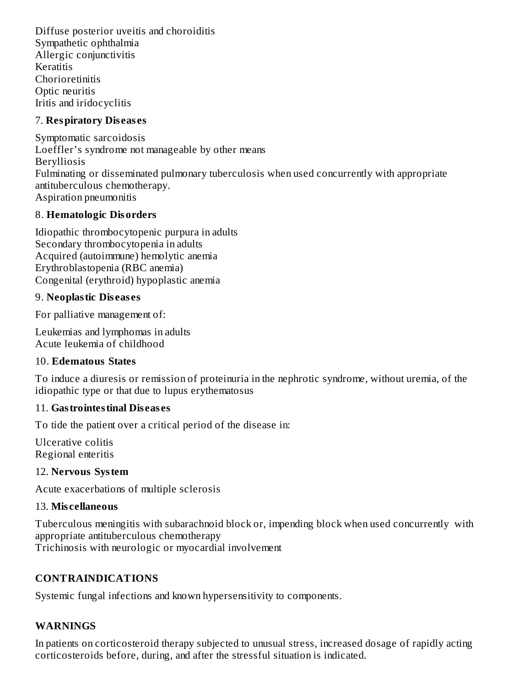Diffuse posterior uveitis and choroiditis Sympathetic ophthalmia Allergic conjunctivitis **Keratitis Chorioretinitis** Optic neuritis Iritis and iridocyclitis

### 7. **Respiratory Dis eas es**

Symptomatic sarcoidosis Loeffler's syndrome not manageable by other means Berylliosis Fulminating or disseminated pulmonary tuberculosis when used concurrently with appropriate antituberculous chemotherapy. Aspiration pneumonitis

## 8. **Hematologic Disorders**

Idiopathic thrombocytopenic purpura in adults Secondary thrombocytopenia in adults Acquired (autoimmune) hemolytic anemia Erythroblastopenia (RBC anemia) Congenital (erythroid) hypoplastic anemia

## 9. **Neoplastic Dis eas es**

For palliative management of:

Leukemias and lymphomas in adults Acute leukemia of childhood

## 10. **Edematous States**

To induce a diuresis or remission of proteinuria in the nephrotic syndrome, without uremia, of the idiopathic type or that due to lupus erythematosus

## 11. **Gastrointestinal Dis eas es**

To tide the patient over a critical period of the disease in:

Ulcerative colitis Regional enteritis

### 12. **Nervous System**

Acute exacerbations of multiple sclerosis

## 13. **Mis cellaneous**

Tuberculous meningitis with subarachnoid block or, impending block when used concurrently with appropriate antituberculous chemotherapy Trichinosis with neurologic or myocardial involvement

## **CONTRAINDICATIONS**

Systemic fungal infections and known hypersensitivity to components.

## **WARNINGS**

In patients on corticosteroid therapy subjected to unusual stress, increased dosage of rapidly acting corticosteroids before, during, and after the stressful situation is indicated.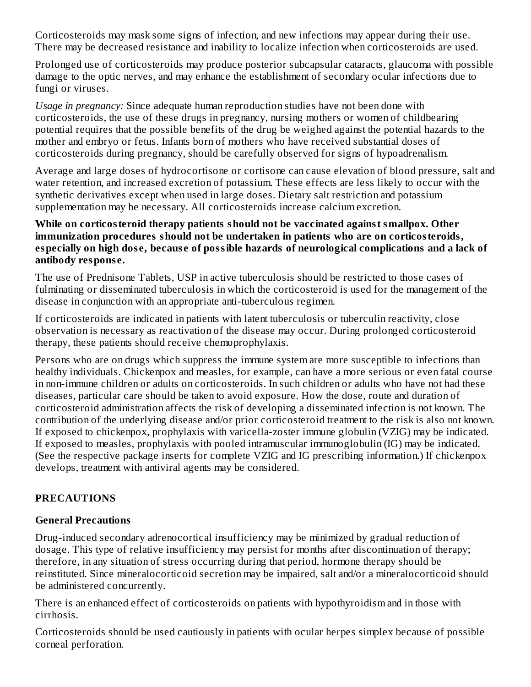Corticosteroids may mask some signs of infection, and new infections may appear during their use. There may be decreased resistance and inability to localize infection when corticosteroids are used.

Prolonged use of corticosteroids may produce posterior subcapsular cataracts, glaucoma with possible damage to the optic nerves, and may enhance the establishment of secondary ocular infections due to fungi or viruses.

*Usage in pregnancy:* Since adequate human reproduction studies have not been done with corticosteroids, the use of these drugs in pregnancy, nursing mothers or women of childbearing potential requires that the possible benefits of the drug be weighed against the potential hazards to the mother and embryo or fetus. Infants born of mothers who have received substantial doses of corticosteroids during pregnancy, should be carefully observed for signs of hypoadrenalism.

Average and large doses of hydrocortisone or cortisone can cause elevation of blood pressure, salt and water retention, and increased excretion of potassium. These effects are less likely to occur with the synthetic derivatives except when used in large doses. Dietary salt restriction and potassium supplementation may be necessary. All corticosteroids increase calcium excretion.

### **While on corticosteroid therapy patients should not be vaccinated against smallpox. Other immunization procedures should not be undertaken in patients who are on corticosteroids, especially on high dos e, becaus e of possible hazards of neurological complications and a lack of antibody respons e.**

The use of Prednisone Tablets, USP in active tuberculosis should be restricted to those cases of fulminating or disseminated tuberculosis in which the corticosteroid is used for the management of the disease in conjunction with an appropriate anti-tuberculous regimen.

If corticosteroids are indicated in patients with latent tuberculosis or tuberculin reactivity, close observation is necessary as reactivation of the disease may occur. During prolonged corticosteroid therapy, these patients should receive chemoprophylaxis.

Persons who are on drugs which suppress the immune system are more susceptible to infections than healthy individuals. Chickenpox and measles, for example, can have a more serious or even fatal course in non-immune children or adults on corticosteroids. In such children or adults who have not had these diseases, particular care should be taken to avoid exposure. How the dose, route and duration of corticosteroid administration affects the risk of developing a disseminated infection is not known. The contribution of the underlying disease and/or prior corticosteroid treatment to the risk is also not known. If exposed to chickenpox, prophylaxis with varicella-zoster immune globulin (VZIG) may be indicated. If exposed to measles, prophylaxis with pooled intramuscular immunoglobulin (IG) may be indicated. (See the respective package inserts for complete VZIG and IG prescribing information.) If chickenpox develops, treatment with antiviral agents may be considered.

## **PRECAUTIONS**

## **General Precautions**

Drug-induced secondary adrenocortical insufficiency may be minimized by gradual reduction of dosage. This type of relative insufficiency may persist for months after discontinuation of therapy; therefore, in any situation of stress occurring during that period, hormone therapy should be reinstituted. Since mineralocorticoid secretion may be impaired, salt and/or a mineralocorticoid should be administered concurrently.

There is an enhanced effect of corticosteroids on patients with hypothyroidism and in those with cirrhosis.

Corticosteroids should be used cautiously in patients with ocular herpes simplex because of possible corneal perforation.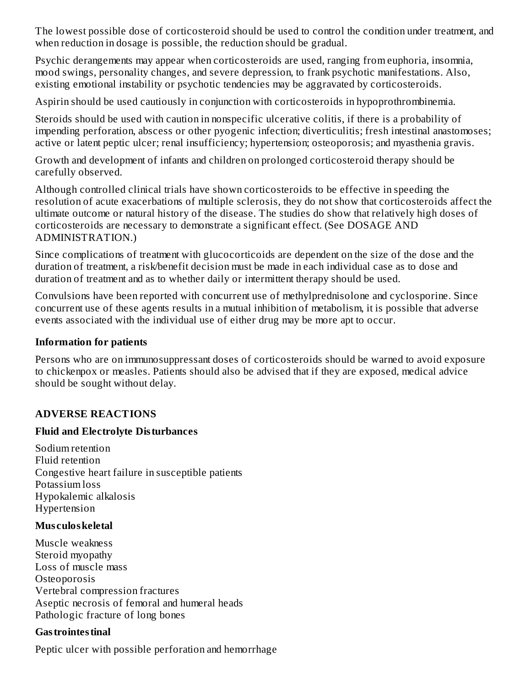The lowest possible dose of corticosteroid should be used to control the condition under treatment, and when reduction in dosage is possible, the reduction should be gradual.

Psychic derangements may appear when corticosteroids are used, ranging from euphoria, insomnia, mood swings, personality changes, and severe depression, to frank psychotic manifestations. Also, existing emotional instability or psychotic tendencies may be aggravated by corticosteroids.

Aspirin should be used cautiously in conjunction with corticosteroids in hypoprothrombinemia.

Steroids should be used with caution in nonspecific ulcerative colitis, if there is a probability of impending perforation, abscess or other pyogenic infection; diverticulitis; fresh intestinal anastomoses; active or latent peptic ulcer; renal insufficiency; hypertension; osteoporosis; and myasthenia gravis.

Growth and development of infants and children on prolonged corticosteroid therapy should be carefully observed.

Although controlled clinical trials have shown corticosteroids to be effective in speeding the resolution of acute exacerbations of multiple sclerosis, they do not show that corticosteroids affect the ultimate outcome or natural history of the disease. The studies do show that relatively high doses of corticosteroids are necessary to demonstrate a significant effect. (See DOSAGE AND ADMINISTRATION.)

Since complications of treatment with glucocorticoids are dependent on the size of the dose and the duration of treatment, a risk/benefit decision must be made in each individual case as to dose and duration of treatment and as to whether daily or intermittent therapy should be used.

Convulsions have been reported with concurrent use of methylprednisolone and cyclosporine. Since concurrent use of these agents results in a mutual inhibition of metabolism, it is possible that adverse events associated with the individual use of either drug may be more apt to occur.

### **Information for patients**

Persons who are on immunosuppressant doses of corticosteroids should be warned to avoid exposure to chickenpox or measles. Patients should also be advised that if they are exposed, medical advice should be sought without delay.

## **ADVERSE REACTIONS**

## **Fluid and Electrolyte Disturbances**

Sodium retention Fluid retention Congestive heart failure in susceptible patients Potassium loss Hypokalemic alkalosis Hypertension

### **Mus culoskeletal**

Muscle weakness Steroid myopathy Loss of muscle mass **Osteoporosis** Vertebral compression fractures Aseptic necrosis of femoral and humeral heads Pathologic fracture of long bones

### **Gastrointestinal**

Peptic ulcer with possible perforation and hemorrhage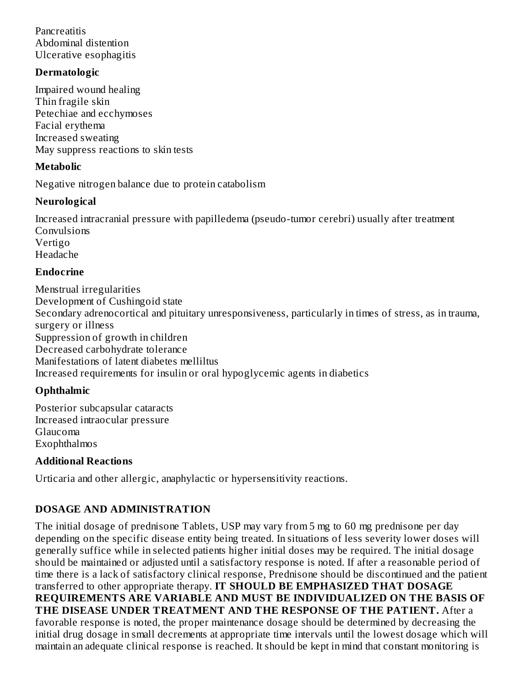**Pancreatitis** Abdominal distention Ulcerative esophagitis

### **Dermatologic**

Impaired wound healing Thin fragile skin Petechiae and ecchymoses Facial erythema Increased sweating May suppress reactions to skin tests

### **Metabolic**

Negative nitrogen balance due to protein catabolism

### **Neurological**

Increased intracranial pressure with papilledema (pseudo-tumor cerebri) usually after treatment Convulsions Vertigo Headache

### **Endocrine**

Menstrual irregularities Development of Cushingoid state Secondary adrenocortical and pituitary unresponsiveness, particularly in times of stress, as in trauma, surgery or illness Suppression of growth in children Decreased carbohydrate tolerance Manifestations of latent diabetes melliltus Increased requirements for insulin or oral hypoglycemic agents in diabetics

## **Ophthalmic**

Posterior subcapsular cataracts Increased intraocular pressure Glaucoma Exophthalmos

## **Additional Reactions**

Urticaria and other allergic, anaphylactic or hypersensitivity reactions.

## **DOSAGE AND ADMINISTRATION**

The initial dosage of prednisone Tablets, USP may vary from 5 mg to 60 mg prednisone per day depending on the specific disease entity being treated. In situations of less severity lower doses will generally suffice while in selected patients higher initial doses may be required. The initial dosage should be maintained or adjusted until a satisfactory response is noted. If after a reasonable period of time there is a lack of satisfactory clinical response, Prednisone should be discontinued and the patient transferred to other appropriate therapy. **IT SHOULD BE EMPHASIZED THAT DOSAGE REQUIREMENTS ARE VARIABLE AND MUST BE INDIVIDUALIZED ON THE BASIS OF THE DISEASE UNDER TREATMENT AND THE RESPONSE OF THE PATIENT.** After a favorable response is noted, the proper maintenance dosage should be determined by decreasing the initial drug dosage in small decrements at appropriate time intervals until the lowest dosage which will maintain an adequate clinical response is reached. It should be kept in mind that constant monitoring is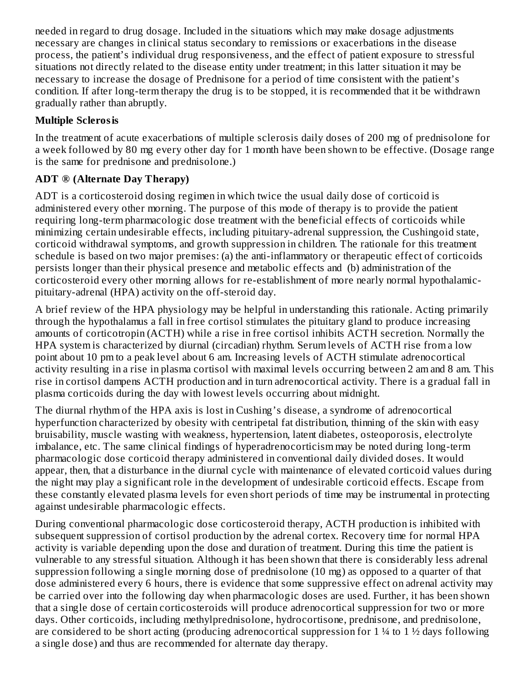needed in regard to drug dosage. Included in the situations which may make dosage adjustments necessary are changes in clinical status secondary to remissions or exacerbations in the disease process, the patient's individual drug responsiveness, and the effect of patient exposure to stressful situations not directly related to the disease entity under treatment; in this latter situation it may be necessary to increase the dosage of Prednisone for a period of time consistent with the patient's condition. If after long-term therapy the drug is to be stopped, it is recommended that it be withdrawn gradually rather than abruptly.

## **Multiple Sclerosis**

In the treatment of acute exacerbations of multiple sclerosis daily doses of 200 mg of prednisolone for a week followed by 80 mg every other day for 1 month have been shown to be effective. (Dosage range is the same for prednisone and prednisolone.)

# **ADT ® (Alternate Day Therapy)**

ADT is a corticosteroid dosing regimen in which twice the usual daily dose of corticoid is administered every other morning. The purpose of this mode of therapy is to provide the patient requiring long-term pharmacologic dose treatment with the beneficial effects of corticoids while minimizing certain undesirable effects, including pituitary-adrenal suppression, the Cushingoid state, corticoid withdrawal symptoms, and growth suppression in children. The rationale for this treatment schedule is based on two major premises: (a) the anti-inflammatory or therapeutic effect of corticoids persists longer than their physical presence and metabolic effects and (b) administration of the corticosteroid every other morning allows for re-establishment of more nearly normal hypothalamicpituitary-adrenal (HPA) activity on the off-steroid day.

A brief review of the HPA physiology may be helpful in understanding this rationale. Acting primarily through the hypothalamus a fall in free cortisol stimulates the pituitary gland to produce increasing amounts of corticotropin (ACTH) while a rise in free cortisol inhibits ACTH secretion. Normally the HPA system is characterized by diurnal (circadian) rhythm. Serum levels of ACTH rise from a low point about 10 pm to a peak level about 6 am. Increasing levels of ACTH stimulate adrenocortical activity resulting in a rise in plasma cortisol with maximal levels occurring between 2 am and 8 am. This rise in cortisol dampens ACTH production and in turn adrenocortical activity. There is a gradual fall in plasma corticoids during the day with lowest levels occurring about midnight.

The diurnal rhythm of the HPA axis is lost in Cushing's disease, a syndrome of adrenocortical hyperfunction characterized by obesity with centripetal fat distribution, thinning of the skin with easy bruisability, muscle wasting with weakness, hypertension, latent diabetes, osteoporosis, electrolyte imbalance, etc. The same clinical findings of hyperadrenocorticism may be noted during long-term pharmacologic dose corticoid therapy administered in conventional daily divided doses. It would appear, then, that a disturbance in the diurnal cycle with maintenance of elevated corticoid values during the night may play a significant role in the development of undesirable corticoid effects. Escape from these constantly elevated plasma levels for even short periods of time may be instrumental in protecting against undesirable pharmacologic effects.

During conventional pharmacologic dose corticosteroid therapy, ACTH production is inhibited with subsequent suppression of cortisol production by the adrenal cortex. Recovery time for normal HPA activity is variable depending upon the dose and duration of treatment. During this time the patient is vulnerable to any stressful situation. Although it has been shown that there is considerably less adrenal suppression following a single morning dose of prednisolone (10 mg) as opposed to a quarter of that dose administered every 6 hours, there is evidence that some suppressive effect on adrenal activity may be carried over into the following day when pharmacologic doses are used. Further, it has been shown that a single dose of certain corticosteroids will produce adrenocortical suppression for two or more days. Other corticoids, including methylprednisolone, hydrocortisone, prednisone, and prednisolone, are considered to be short acting (producing adrenocortical suppression for 1 ¼ to 1 ½ days following a single dose) and thus are recommended for alternate day therapy.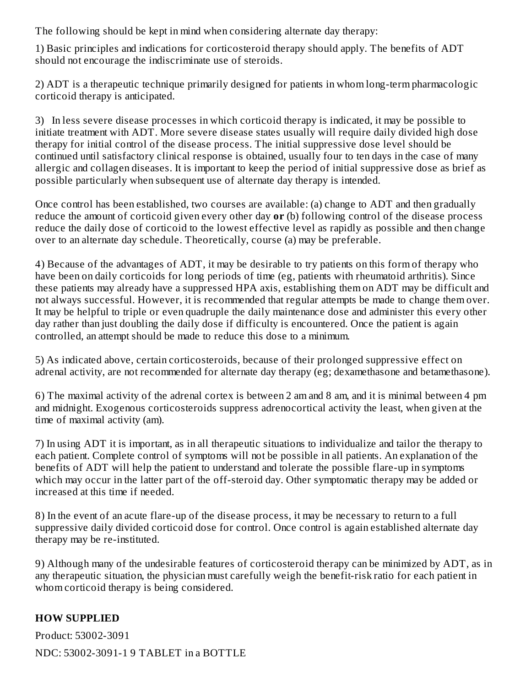The following should be kept in mind when considering alternate day therapy:

1) Basic principles and indications for corticosteroid therapy should apply. The benefits of ADT should not encourage the indiscriminate use of steroids.

2) ADT is a therapeutic technique primarily designed for patients in whom long-term pharmacologic corticoid therapy is anticipated.

3) In less severe disease processes in which corticoid therapy is indicated, it may be possible to initiate treatment with ADT. More severe disease states usually will require daily divided high dose therapy for initial control of the disease process. The initial suppressive dose level should be continued until satisfactory clinical response is obtained, usually four to ten days in the case of many allergic and collagen diseases. It is important to keep the period of initial suppressive dose as brief as possible particularly when subsequent use of alternate day therapy is intended.

Once control has been established, two courses are available: (a) change to ADT and then gradually reduce the amount of corticoid given every other day **or** (b) following control of the disease process reduce the daily dose of corticoid to the lowest effective level as rapidly as possible and then change over to an alternate day schedule. Theoretically, course (a) may be preferable.

4) Because of the advantages of ADT, it may be desirable to try patients on this form of therapy who have been on daily corticoids for long periods of time (eg, patients with rheumatoid arthritis). Since these patients may already have a suppressed HPA axis, establishing them on ADT may be difficult and not always successful. However, it is recommended that regular attempts be made to change them over. It may be helpful to triple or even quadruple the daily maintenance dose and administer this every other day rather than just doubling the daily dose if difficulty is encountered. Once the patient is again controlled, an attempt should be made to reduce this dose to a minimum.

5) As indicated above, certain corticosteroids, because of their prolonged suppressive effect on adrenal activity, are not recommended for alternate day therapy (eg; dexamethasone and betamethasone).

6) The maximal activity of the adrenal cortex is between 2 am and 8 am, and it is minimal between 4 pm and midnight. Exogenous corticosteroids suppress adrenocortical activity the least, when given at the time of maximal activity (am).

7) In using ADT it is important, as in all therapeutic situations to individualize and tailor the therapy to each patient. Complete control of symptoms will not be possible in all patients. An explanation of the benefits of ADT will help the patient to understand and tolerate the possible flare-up in symptoms which may occur in the latter part of the off-steroid day. Other symptomatic therapy may be added or increased at this time if needed.

8) In the event of an acute flare-up of the disease process, it may be necessary to return to a full suppressive daily divided corticoid dose for control. Once control is again established alternate day therapy may be re-instituted.

9) Although many of the undesirable features of corticosteroid therapy can be minimized by ADT, as in any therapeutic situation, the physician must carefully weigh the benefit-risk ratio for each patient in whom corticoid therapy is being considered.

## **HOW SUPPLIED**

Product: 53002-3091 NDC: 53002-3091-1 9 TABLET in a BOTTLE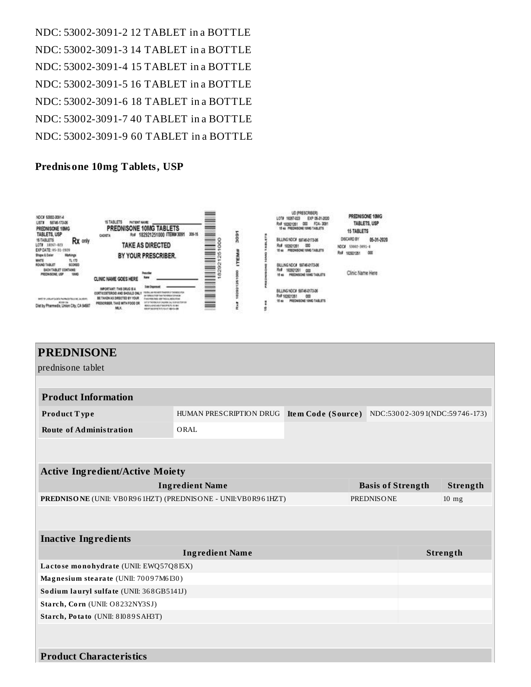NDC: 53002-3091-2 12 TABLET in a BOTTLE NDC: 53002-3091-3 14 TABLET in a BOTTLE NDC: 53002-3091-4 15 TABLET in a BOTTLE NDC: 53002-3091-5 16 TABLET in a BOTTLE NDC: 53002-3091-6 18 TABLET in a BOTTLE NDC: 53002-3091-7 40 TABLET in a BOTTLE NDC: 53002-3091-9 60 TABLET in a BOTTLE

#### **Prednisone 10mg Tablets, USP**



| <b>PREDNISONE</b>                                                                  |                                               |  |  |          |                               |
|------------------------------------------------------------------------------------|-----------------------------------------------|--|--|----------|-------------------------------|
| prednisone tablet                                                                  |                                               |  |  |          |                               |
|                                                                                    |                                               |  |  |          |                               |
| <b>Product Information</b>                                                         |                                               |  |  |          |                               |
| Product Type                                                                       | HUMAN PRESCRIPTION DRUG<br>Item Code (Source) |  |  |          | NDC:53002-3091(NDC:59746-173) |
| <b>Route of Administration</b>                                                     | ORAL                                          |  |  |          |                               |
|                                                                                    |                                               |  |  |          |                               |
|                                                                                    |                                               |  |  |          |                               |
| <b>Active Ingredient/Active Moiety</b>                                             |                                               |  |  |          |                               |
| <b>Ingredient Name</b><br><b>Basis of Strength</b>                                 |                                               |  |  |          | Strength                      |
| PREDNISONE (UNII: VB0R961HZT) (PREDNISONE - UNII: VB0R961HZT)<br><b>PREDNISONE</b> |                                               |  |  |          | $10$ mg                       |
|                                                                                    |                                               |  |  |          |                               |
|                                                                                    |                                               |  |  |          |                               |
| <b>Inactive Ingredients</b>                                                        |                                               |  |  |          |                               |
| <b>Ingredient Name</b>                                                             |                                               |  |  | Strength |                               |
| Lactose monohydrate (UNII: EWQ57Q8I5X)                                             |                                               |  |  |          |                               |
| Magnesium stearate (UNII: 70097M6I30)                                              |                                               |  |  |          |                               |
| Sodium lauryl sulfate (UNII: 368GB5141J)                                           |                                               |  |  |          |                               |
| Starch, Corn (UNII: O8232NY3SJ)                                                    |                                               |  |  |          |                               |
| Starch, Potato (UNII: 81089SAH3T)                                                  |                                               |  |  |          |                               |
|                                                                                    |                                               |  |  |          |                               |
|                                                                                    |                                               |  |  |          |                               |
| <b>Product Characteristics</b>                                                     |                                               |  |  |          |                               |